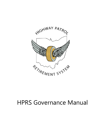

# HPRS Governance Manual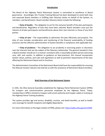#### **Introduction**

The Board of the Highway Patrol Retirement System is committed to excellence in Board governance. Accordingly, this Trustee Training Manual has been developed to assist both new and seasoned Board members in fulfilling their fiduciary duties on behalf of the System, its members, and beneficiaries. Board member fiduciary duties include the following:

• **Duty of loyalty** – The obligation to act for the exclusive benefit of the plan participants and beneficiaries. Regardless of how they have been selected, Board members must put the interest of all plan participants and beneficiaries above their own interests or those of any third parties.

• **Duty of care** – The responsibility to administer the plan efficiently and properly. The duty of care includes consideration and monitoring of the financial sustainability of funding practices and the effective administration of System benefits in compliance with applicable law.

• **Duty of prudence** – The obligation to act prudently in exercising power or discretion over the interests that are the subject of the fiduciary relationship. The general standard is that a Board member should act in a manner consistent with a reasonably prudent person exercising care, skill, and caution. In addition to guidance on best-practices, this manual incorporates System values, policies, and rules and regulations as well as pertinent requirements of the laws affecting the Retirement Board and its functions.

The Administration Committee of the Retirement Board shall have the responsibility for ensuring this Manual remains relevant and shall do so with the assistance of Retirement Board members.

#### **Brief Overview of the Retirement System**

In 1941, the Ohio General Assembly established the Highway Patrol Retirement System (HPRS) for troopers and communications personnel employed by the Highway Patrol. Today, membership in HPRS is limited to troopers with arrest authority and trooper cadets in training at the Highway Patrol Training Academy.

The system provides age and service, disability, survivor, and death benefits, as well as health care coverage for benefit recipients and eligible dependents.

For more information on the legal creation of HPRS, please visit: [http://codes.ohio.gov/orc/5505.](http://codes.ohio.gov/orc/5505)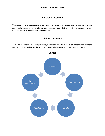# **Mission Statement**

The mission of the Highway Patrol Retirement System is to provide stable pension services that are fiscally responsible, prudently administered, and delivered with understanding and responsiveness to all members and beneficiaries.

# **Vision Statement**

To maintain a financially sound pension system that is a leader in the oversight of our investments and liabilities, providing for the long-term financial wellbeing of our retirement system.

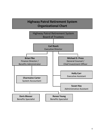# **Highway Patrol Retirement System Organizational Chart**

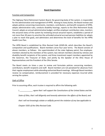#### **Board Organization**

#### Function and Composition

The Highway Patrol Retirement System Board, the governing body of the system, is responsible for the administration and management of HPRS. Among its many duties, the Board reviews and adopts policies concerning investments, members, contributors, and benefit recipients of HPRS, adopts administrative rules, conducts disability hearings, reports to the Ohio Retirement Study Council, adopts an annual administrative budget, certifies employer contribution rates, monitors the actuarial status of the system by reviewing annual actuarial reports, establishes a period of not more than 30 years to amortize the unfunded actuarial accrued pension liabilities (or adopts a plan to reach that goal), and administers and determines the level of benefits for the HPRS Health Care Plan.

The HPRS Board is established by Ohio Revised Code §5505.04, which describes the Board's composition and qualifications. Board members serve four-year terms. The Board consists of eleven members, as follows: the superintendent of the state highway patrol, five employeemembers elected by the members of the system; two retirant members elected by retirees and disability benefit recipients of the system; and three investment expert members appointed by the Governor, the Treasurer of State, and jointly by the Speaker of the Ohio House of Representatives and the President of the Ohio Senate.

The Board meets six times a year to review and formulate policies concerning members, contributors, benefit recipients and staff. Board members are not penalized for absences from their regular employment while attending authorized Board meetings. Although Board members receive no compensation, reimbursement is provided for necessary expenses incurred while serving the system.

#### Oath of Office

Prior to assuming office, each trustee is required to affirm the following oath:

*I, \_\_\_\_\_\_\_\_\_\_\_\_, agree that I will support the Constitutions of the United States and the* 

*State of Ohio, that I will diligently and honestly administer the affairs of the Board, and* 

*that I will not knowingly violate or willfully permit the violation of any law applicable to* 

*Chapter 5505 of the Ohio Revised Code.*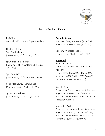

# Board of Trustees - Current

Ex-Officio Col. Richard S. Fambro, Superintendent

Elected – Active Tpr. Derek Malone (4-year term, 8/1/2021 –7/31/2025)

Sgt. Christian Niemeyer (Remainder of 4-year term,  $10/1/2021 -$ 7/31/2022)

Tpr. Cynthia Wilt (4-year term, 8/1/2019 – 7/31/2023)

Capt. Matthew L. Them (Chair) (4-year term, 8/1/2020 - 7/31/2024)

Sgt. Brice A. Nihiser (4-year term, 8/1/2021-7/31/2025) Elected - Retired

Maj. (ret.) Darryl Anderson (Vice-Chair) (4-year term, 8/1/2018 – 7/31/2022)

Sgt. (ret.) Michael P. Kasler (4-year term, 8/1/2021 – 7/31/2025)

## Appointed

Joseph H. Thomas General Assembly's Investment Expert Appointee (4-year term, 11/5/2020 - 11/4/2024; pursuant to ORC Section 5505.04(A)(3), serves until successor sworn in)

Scott G. Richter Treasurer of State's Investment Designee (4-year term, 2/1/2021 - 1/31/2025; pursuant to ORC Section 3.01, serves until successor sworn in)

Maj. (ret.) JP Allen Governor's Investment Expert Appointee (4-year term, 11/25/2020 - 9/26/2024; pursuant to ORC Section 5505.04(A) (3), serves until successor sworn in)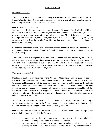#### **Board Operations**

#### Meetings & Quorum

Attendance at Board and Committee meetings is considered to be an essential element of a trustee's fiduciary duty. Therefore, trustees are expected to attend all meetings unless there are extenuating circumstances that prevent attendance.

#### Ohio Revised Code §3.17 states:

"Any member of a board, commission, council, board of trustees of an institution of higher education, or other public body of the state, except a member of the general assembly or a judge of any court in the state, who fails to attend at least three-fifths of the regular and special meetings held by that board, commission, council, board of trustees, or public body during any two-year period forfeits the member's position on that board, commission, council, board of trustees, or public body."

Committees are smaller subsets of trustees that meet to deliberate on various items and make recommendations to the Board. Generally, Committee meetings operate in the same manner as Board meetings.

A quorum consists of a majority of the total number of trustees who are serving on the HPRS Board at the time of a meeting where official action is to be taken. A favorable vote consists of a majority of the total number of trustees present. An abstention from voting is not counted as either an affirmative or negative vote. A roll call vote will occur if there is a division in the vote. Any trustee may request a roll call on any vote.

#### Ohio Open Meetings Act

Meetings of the Board are governed by the Ohio Open Meetings Act and are generally open to the public. The Open Meetings Act is intended to require public bodies to take official action and to conduct deliberations on official business in open meetings. A public body has three basic responsibilities under the Act: openness, notice, and minutes. Ohio Revised Code §121.22(B)(2) defines a meeting as a prearranged gathering by a majority of membership of the public body for the purpose of discussing or conducting public business. Trustees must be present in person to vote, deliberate, or to be counted in a quorum. Conducting meetings via teleconference or videoconference is prohibited.

The minutes are the record of the proceedings of the Board. Draft copies of the prior meeting's written minutes are circulated to the Board in advance of each meeting. After approval, the minutes become part of the permanent record of the organization.

Ohio Revised Code §121.22(G) authorizes an executive session to allow the Board to privately discuss limited matters, including the following:

- 1. Personnel, to consider the appointment, employment, dismissal, discipline, promotion, or compensation of a public employee or official;
- 2. Property, to consider the purchase of property (real and personal property, whether it is tangible or intangible) and to consider the sale of property by competitive bid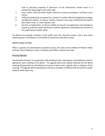(real or personal property) if disclosure of the information would result in a competitive advantage to the other side;

- 3. Court action, with the public body's attorney to discuss pending or imminent court action;
- 4. Collective bargaining, to prepare for, conduct or review collective bargaining strategy;
- 5. Confidential matters, to discuss matters required to be kept confidential by federal law, federal rules, or state statutes; and
- 6. Security arrangements, to discuss details of security arrangements and emergency response protocols where disclosure could be expected to jeopardize the security of the public body or public office.

The Board may exclude members of the public from the executive session, and it may invite specific guests of the Board or Committee to attend the executive session.

#### Robert's Rules of Order

When a question of parliamentary procedure arises, the most current edition of *Robert's Rules of Order* will be followed, unless it conflicts with HPRS's statutes and rules.

#### Meeting Agendas

The Executive Director, in coordination with the Board chair, will prepare, and distribute a written agenda for each meeting of the Board. The agenda items and related materials for the Board meeting will generally be distributed to trustees at least seven calendar days in advance of the meeting. The agenda will be distributed to all active members of HPRS and by the system's public website, www.ohprs.org.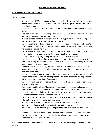#### **Basic Responsibilities of the Board**

The Board should:

- **E** Determine the HPRS mission and vision. It is the Board's responsibility to create and review a statement of mission and vision that articulates goals, means, and primary constituents served.
- **E** Select the Executive Director after a carefully considered and executed search process.
- Establish an investment policy and performance benchmarks for the fund and monitor the overall risks and returns of the fund.
- Provide proper financial oversight. The Board approves the annual budget and ensures that proper financial controls are in place.
- Ensure legal and ethical integrity, adhere to fiduciary duties, and maintain accountability. The Board is ultimately responsible for ensuring adherence to legal standards and ethical norms.
- Ensure effective organizational planning. The Board will actively participate in the strategic planning process and assist in monitoring the plan's goals.
- Establish the fund's proxy voting and corporate governance policies.
- Participate in the orientation of new Board members by welcoming them to the Board, describing the Board's culture, and discussing current issues facing the Board
- Assess Board performance annually.
- Enhance the public standing of HPRS. The Board should clearly articulate the organization's mission, accomplishments, and goals to the public and garner support from the community.
- Determine, monitor, and strengthen the programs and services of HPRS. The Board's responsibility is to determine which programs are consistent with the organization's mission and to monitor their effectiveness.
- Ensure that high-quality, professional, personnel practices are in place, in compliance with applicable laws.
- Hire, review, and terminate (if necessary) investment consultants and actuaries.
- Review and approve all administrative code rules. At the discretion of the Chair or Executive Director, administrative code rules may be referred to the appropriate committee for their review and recommendation.
- Verify that procedures are in place to ensure the security of member-specific information and other confidential information.
- Appropriately manage the funding and design of the health care plan.
- Monitor and influence legislation and external factors that impact HPRS.
- Verify that a disaster recovery plan is in place in order to protect the beneficiaries of HPRS.
- Support the Executive Director and assess his or her performance. The Board should ensure that the Executive Director has the moral and professional support he or she needs to further the goals of HPRS.

Beyond the responsibilities listed above, all other responsibilities are delegated to the Executive Director.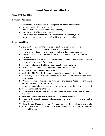#### **Chair Job Responsibilities and Functions**

#### **Title: HPRS Board Chair**

#### **I. General Description**

- A. Elected annually by members of the Highway Patrol Retirement Board
- B. Foster the highest level of honesty and integrity
- C. Conduct Board business efficiently and effectively
- D. Supervise the HPRS Executive Director
- E. Serve in a fiduciary capacity to all members of the retirement system
- F. Ensure the board's governance is of the highest possible standard

#### **II. Responsibilities**

- A**.** Chairs meetings according to accepted rules of order for the purposes of
	- a. encouraging all members to participate in discussion;
	- b. arriving at decisions in an orderly, timely and democratic manner;
- B. Appoint all standing committee and special committee chairs and committee members.
- C. Provide leadership to ensure that trustees fulfill their duties and responsibilities for the proper governance of the board.
- D. Ensure compliance with all laws, rules, regulations, and policies.
- E. Foster a safe environment for open communication and inquiry.
- F. Call special board meetings, as necessary.
- G. Assist the HPRS Executive Director in preparing the agenda for board meetings.
- H. Periodically consult with board members on their roles and help them assess their performance.
- I. Oversee searches and participates in the hiring of Executive Director, Chief Financial Officer and Chief Investment Officer.
- J. Ensures that periodic performance reviews of the executive director are conducted.
- K. Votes on matters before the board.
- L. Represents the system to external groups and serves as primary spokesperson for the board.
- M. Oversees and encourages the board's role in strategic planning.
- N. Monitors the pace of meetings and ensures discussions stay focused and within the allotted time.
- O. Helps the board "speak in one voice" to best represent the membership as a whole.
- P. Certifies any action taken by the board, when required, and executes documents on behalf of the board.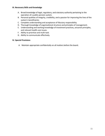#### **III. Necessary Skills and Knowledge**

- A. Broad knowledge of legal, regulatory, and statutory authority pertaining to the operation of a public pension system.
- B. Personal qualities of integrity, credibility, and a passion for improving the lives of the system's beneficiaries
- C. Complete understanding and acceptance of fiduciary responsibility.
- D. Thorough knowledge of organizational structure and principles of management.
- E. Understanding and working knowledge of investment practices, actuarial principles, and relevant health care issues.
- F. Ability to prioritize and multi-task.
- G. Ability to communicate effectively.

#### **IV. Special Provisions**

A. Maintain appropriate confidentially on all matters before the board.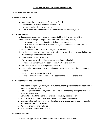#### **Vice-Chair Job Responsibilities and Functions**

#### **Title: HPRS Board Vice-Chair**

#### **I. General Description**

- A. Member of the Highway Patrol Retirement Board.
- B. Elected annually by the members of the board
- C. Foster the highest level of honesty and integrity.
- D. Serve in a fiduciary capacity to all members of the retirement system.

#### **II. Responsibilities**

A**.** Chairs meetings and performs chair responsibilities- in the absence of the board chair-according to accepted rules of order for the purposes of;

a. encouraging all members to participate in discussion,

b. arrives at decisions in an orderly, timely and democratic manner (see Chair description)

- B. Works closely with the chair, trustees, and system staff.
- C. Provide leadership to ensure that trustees fulfill their duties and responsibilities for the proper governance of the board.
- D. Serve on committees as assigned.
- E. Ensure compliance with all laws, rules, regulations, and policies.
- F. Foster a safe environment for open communication and inquiry.
- G. Performs other duties as assigned by the board.
- H. Periodically consult with board members on their roles and help them assess their performance.
- I. Votes on matters before the board.
- J. Serves as primary spokesperson for the board in the absence of the chair.

#### **III. Necessary Skills and Knowledge**

- H. Knowledge of legal, regulatory, and statutory authority pertaining to the operation of a public pension system.
- I. Personal qualities of integrity, credibility, and a passion for improving the lives of the system's beneficiaries
- J. Complete understanding and acceptance of fiduciary responsibility.
- K. Knowledge of organizational structure and principles of management.
- L. Understanding and working knowledge of investment practices, actuarial principles, and relevant health care issues.
- M. Ability to prioritize and multi-task.
- N. Ability to communicate effectively.

#### **IV. Special Provisions**

A. Maintain appropriate confidentially on all matters before the board.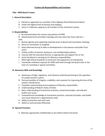#### **Trustee Job Responsibilities and Functions**

#### **Title: HPRS Board Trustee**

#### **I. General Description**

- A. Elected or appointed as a member of the Highway Patrol Retirement Board.
- B. Foster the highest level of honesty and integrity.
- C. Serve in a fiduciary capacity to all members of the retirement system.

#### **II. Responsibilities**

A**.** Be informed about the mission and policies of HPRS.

B. Attend board and committee meetings and vote when the Chair calls for a vote.

- C. Review agenda and supporting materials prior to Board and Committee meetings.
- D. Serve on committees as assigned.
- E. Keep informed and up to date on developments in the pension and public fund arena.
- F. Follow conflict of interest, disclosure, and confidentiality policies.
- G. Counsel with the Executive Director as appropriate and support him or her.
- H. Assist the Board in carrying out its fiduciary responsibilities.
- I. Meet high ethical standards to avoid even the appearance of impropriety.
- J. Coordinate individual requests for HPRS staff work through the board chair or the chair of a standing or special committee.

#### **III. Necessary Skills and Knowledge**

- A. Awareness of legal, regulatory, and statutory authority pertaining to the operation of a public pension system.
- B. Personal qualities of integrity, credibility, and a passion for improving the lives of the system's beneficiaries
- C. Complete understanding and acceptance of fiduciary responsibility.
- D. Understanding of Robert's Rules of Order.
- E. Basic understanding of investment practices, actuarial principles, and relevant health care issues.
- F. Comprehensive knowledge of investment practices, actuarial principles, and health care issues (Governor's appointments only)
- G. Ability to prioritize and multi-task.
- H. Ability to communicate effectively.

#### **IV. Special Provisions**

A. Maintain appropriate confidentially on all matters before the board.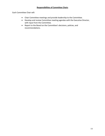Each Committee Chair will:

- Chair Committee meetings and provide leadership to the Committee.
- Develop and review Committee meeting agendas with the Executive Director, with input from the Committee.
- Report to the Board on the Committee's decisions, policies, and recommendations.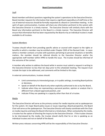#### Staff

Board members will direct questions regarding the system's operations to the Executive Director. Board member requests for information that require a significant expenditure of staff time or the use of external resources should be formally requested at a Board or Committee meeting. In the spirit of open communication, trustees will share any information pertinent to the system with the Executive Director in a timely manner. The Executive Director will similarly share with the Board any information pertinent to the Board in a timely manner. The Executive Director will ensure that information that has been requested by the Board or by an individual trustee is made available to all trustees.

#### System Members

Trustees should refrain from providing specific advice or counsel with respect to the rights or benefits to which a member may be entitled under Chapter 5505 of the Revised Code. In cases where a member contacts a trustee with questions pertaining to personal situations or benefits matters, the member should be referred directly to the Executive Director and/or the appropriate staff member within HPRS to handle the issue. The trustee should be informed of the outcome of the contact.

A member who wishes to address the board while in session must submit a request in writing to the Executive Director no less than ten days prior to the scheduled meeting. The request must include the topic to be addressed, and comments will be limited to this topic.

In external communications, trustees should:

- Limit commentary to interested groups, or in public settings, to existing Board policies or decisions,
- **E** Speak on behalf of the Board only when explicitly authorized to do so by the Board,
- Indicate when they are representing a personal position, opinion or analysis that is different from a Board-approved position, and
- Indicate if they are speaking in a capacity other than that of a trustee.

#### Media

The Executive Director will serve as the primary contact for media inquiries and as spokesperson for the system. On major Board policy issues or issues requiring a Board perspective, the Board Chair will serve as the spokesperson. The Executive Director will closely coordinate with the Chair on media inquiries and keep the Board informed on a timely basis. When contacted by the media, a trustee has the option of directing the inquiry to the Executive Director. If the trustee chooses to be interviewed by the media, the trustee should clarify that he or she is speaking as an individual trustee and not on behalf of the Board.

Written press releases concerning HPRS will be the responsibility of the Executive Director.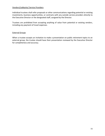#### Vendors/Lobbyists/ Service Providers

Individual trustees shall refer proposals or other communications regarding potential or existing investments, business opportunities, or contracts with any outside service providers directly to the Executive Director or the designated staff, assigned by the Director.

Trustees are prohibited from accepting anything of value from potential or existing vendors, including any payment of travel expenses.

#### External Groups

When a trustee accepts an invitation to make a presentation on public retirement topics to an external group, the trustee should have their presentation reviewed by the Executive Director for completeness and accuracy.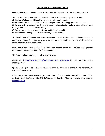#### **Committees of the Retirement Board**

Ohio Administrative Code Rule 5505-9-08 authorizes Committees of the Retirement Board.

The five standing committees and the relevant areas of responsibility are as follows:

- (1) **Health, Wellness, and Disability** disability retirement benefits
- (2) **Administration** administration of system operations, including payroll and facilities
- (3) **Investment** investment functions of the system, including internal and external investment management and investment consulting
- (4) **Audit** annual financial audit, internal audit, fiduciary audit
- (5) **Health Care Funding** health care solvency and plan design

The Board Chair will appoint five or more trustees to each of the above listed committees. In addition, the Board Chair may form or dissolve any special committees, the size of which shall be at the direction of the Board Chair.

Each committee Chair and/or Vice-Chair will report committee actions and present recommendations to the Board for further action.

#### **The Board and Committee schedules are as follows:**

Please see <https://www.ohprs.org/ohprs/boardMeetingDates.jsp> for the most up-to-date meeting times.

Special meetings may be held at the call of the chair, or in the event of the chair's incapacity, at the call of the vice chair.

*All meeting dates and times are subject to revision. Unless otherwise noted, all meetings will be at 1900 Polaris Parkway, Suite 201, Columbus, OH 43240. Meeting revisions are posted at [www.ohprs.org.](http://www.ohprs.org/)*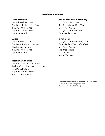## **Standing Committees**

#### **Administration**

Sgt. Brice Nihiser, Chair Tpr. Derek Malone, Vice-Chair Sgt. (ret.) Michael Kasler Sgt. Christian Niemeyer Tpr. Cynthia Wilt

#### **Audit**

Sgt. Brice Nihiser, Chair Tpr. Derek Malone, Vice-Chair Col. Richard Fambro Sgt. (ret.) Michael Kasler Tpr. Cynthia Wilt

#### **Health Care Funding**

Sgt. (ret.) Michael Kasler, Chair Maj. (ret.) Darryl Anderson, Vice-Chair Tpr. Derek Malone Sgt. Christian Niemeyer Capt. Matthew Them

#### **Health, Wellness, & Disability**

Tpr. Cynthia Wilt, Chair Sgt. Brice Nihiser, Vice-Chair Maj. (ret.) JP Allen Maj. (ret.) Darryl Anderson Capt. Matthew Them

#### **Investment**

Maj. (ret.) Darryl Anderson, Chair Capt. Matthew Them, Vice-Chair Maj. (ret.) JP Allen Sgt. Brice Nihiser Scott Richter Joseph Thomas

Each committee will elect a Chair and Vice-Chair at the Committee's first meeting after July 31st (Administrative Rule 5505-9-04).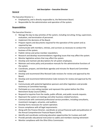#### **Job Description – Executive Director**

#### **General**

The Executive Director is –

- Employed by, and is directly responsible to, the Retirement Board.
- Responsible for the administration and operation of the system.

#### **Responsibilities**

The Executive Director –

- Manage the day-to-day activities of the system, including recruiting, hiring, supervision, evaluation, and termination of personnel.
- Implement the decisions of the Board.
- Prepare reports and documents required for the operation of the system and as required by law.
- Communicate with members, retirees, and survivors as necessary to conduct the business of the system.
- Publish retiree and active member newsletters.
- Research and develop recommendations regarding issues that may affect the system.
- Monitor legislative actions that may affect the system.
- Develop and maintain job descriptions for all system employees.
- Maintain and revise policy and procedure manuals for the administrative functions of the system.
- Coordinate, prepare, and distribute agendas and minutes for Board and Committee meetings.
- Develop and recommend Ohio Revised Code revisions for review and approval by the Board.
- Develop and recommend Administrative Code revisions for review and approval by the Board.
- Communicate with potential legislative sponsors and other legislators and provide testimony at Committee hearings.
- Participate as a non-voting member and represent the system before the Ohio Retirement Study Council (ORSC).
- Respond to inquiries from the media, public officials, and public records requests.
- Represent the system at meetings and other business-related functions.
- Communicate with contracted professional service providers, including consultants, investment managers, actuaries, and auditors.
- Develop forms necessary for system operation.
- Ensure compliance with all legal requirements.
- Along with the Finance Director, coordinate an annual financial audit and publication of the Annual Comprehensive Financial Report (ACFR).
- Identify and coordinate continuing education opportunities for trustees and staff.
- Provide periodic educational instruction to cadets and members nearing retirement
- Monitor compliance with the Ohio Ethics Commission.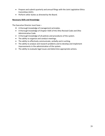- Prepare and submit quarterly and annual filings with the Joint Legislative Ethics Committee (JLEC).
- Perform other duties as directed by the Board.

#### **Necessary Skills and Knowledge**

The Executive Director must have –

- A thorough knowledge of management principles.
- A thorough knowledge of Chapter 5505 of the Ohio Revised Code and Ohio Administrative Code.
- A thorough knowledge of all policies and procedures of the system.
- The ability to organize and conduct meetings.
- The ability to effectively communicate, verbally and in writing.
- The ability to analyze and research problems and to develop and implement improvements in the administration of the system.
- The ability to evaluate legal issues and determine appropriate actions.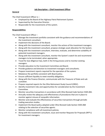#### **Job Description – Chief Investment Officer**

#### **General**

The Chief Investment Officer is –

- Employed by the Board of the Highway Patrol Retirement System.
- Supervised by the Executive Director.
- Responsible for the investments of the system.

#### **Responsibilities**

The Chief Investment Officer –

- Manage the investment portfolio consistent with the guidance and recommendations of the investment consultant.
- Implement the decisions of the Board.
- Along with the investment consultant, monitor the actions of the investment managers.
- Along with the investment consultant, propose strategic asset allocation for the System.
- Along with the investment consultant, interview, evaluate, and determine suitability of potential investment managers.
- Along with the investment consultant, monitor the System's watch list and recommend managers to be terminated, when appropriate.
- Travel for due diligence trips, both in the hiring process and to monitor existing managers.
- Provide education to the Investment Committee and Board.
- Provide guidance and direction to investment managers and consultants.
- Prepare investment reports required for the operation of the system.
- Rebalance the portfolio consistent with Board policy.
- Ensure sufficient liquidity to meet monthly obligations.
- Along with the Finance Director, communicate with the Treasurer of State and sub custodian.
- Prepare required reports for the Ohio Retirement Study Council (ORSC).
- Identify investment risks and opportunities for consideration by the Investment Committee.
- Monitor securities transactions in accordance with Ohio Revised Code Section 5505.065.
- Annually review the adequacy and effectiveness of procedures that are in place to monitor against misuse of nonpublic information.
- Monitor and evaluate the effectiveness of securities transactions through periodic trading execution studies.
- Implement the Board policy adopted under Ohio Revised Code Section 5505.068 relating to the selection of securities agents.
- Monitor compliance with all investment policies.
- Along with the investment consultant, issue and monitor Requests for Proposals (RFP's) for investment managers.